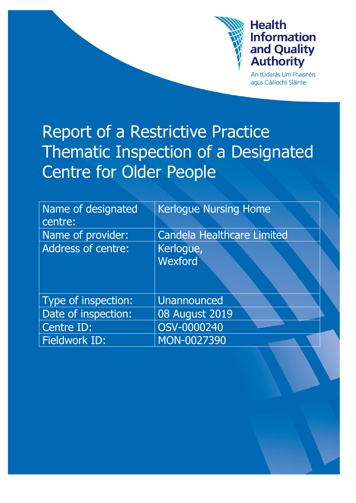

# **Health Information** and Quality **Authority**

An tÚdarás Um Fhaisnéis aqus Cáilíocht Sláinte

# Report of a Restrictive Practice Thematic Inspection of a Designated Centre for Older People

| Name of designated<br>centre: | <b>Kerlogue Nursing Home</b>      |
|-------------------------------|-----------------------------------|
| Name of provider:             | <b>Candela Healthcare Limited</b> |
|                               |                                   |
| <b>Address of centre:</b>     | Kerlogue,                         |
|                               | Wexford                           |
|                               |                                   |
| Type of inspection:           | <b>Unannounced</b>                |
| Date of inspection:           | <b>08 August 2019</b>             |
| Centre ID:                    | OSV-0000240                       |
| <b>Fieldwork ID:</b>          | MON-0027390                       |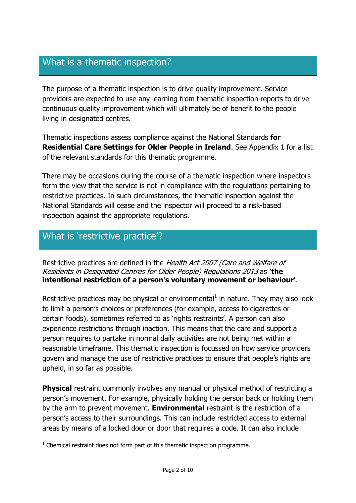# What is a thematic inspection?

The purpose of a thematic inspection is to drive quality improvement. Service providers are expected to use any learning from thematic inspection reports to drive continuous quality improvement which will ultimately be of benefit to the people living in designated centres.

Thematic inspections assess compliance against the National Standards **for Residential Care Settings for Older People in Ireland**. See Appendix 1 for a list of the relevant standards for this thematic programme.

There may be occasions during the course of a thematic inspection where inspectors form the view that the service is not in compliance with the regulations pertaining to restrictive practices. In such circumstances, the thematic inspection against the National Standards will cease and the inspector will proceed to a risk-based inspection against the appropriate regulations.

### What is 'restrictive practice'?

Restrictive practices are defined in the Health Act 2007 (Care and Welfare of Residents in Designated Centres for Older People) Regulations 2013 as **'the intentional restriction of a person's voluntary movement or behaviour'**.

Restrictive practices may be physical or environmental $<sup>1</sup>$  in nature. They may also look</sup> to limit a person's choices or preferences (for example, access to cigarettes or certain foods), sometimes referred to as 'rights restraints'. A person can also experience restrictions through inaction. This means that the care and support a person requires to partake in normal daily activities are not being met within a reasonable timeframe. This thematic inspection is focussed on how service providers govern and manage the use of restrictive practices to ensure that people's rights are upheld, in so far as possible.

**Physical** restraint commonly involves any manual or physical method of restricting a person's movement. For example, physically holding the person back or holding them by the arm to prevent movement. **Environmental** restraint is the restriction of a person's access to their surroundings. This can include restricted access to external areas by means of a locked door or door that requires a code. It can also include

 1 Chemical restraint does not form part of this thematic inspection programme.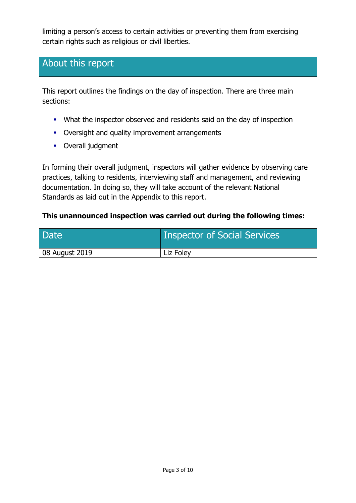limiting a person's access to certain activities or preventing them from exercising certain rights such as religious or civil liberties.

# About this report

This report outlines the findings on the day of inspection. There are three main sections:

- What the inspector observed and residents said on the day of inspection
- Oversight and quality improvement arrangements
- **•** Overall judgment

In forming their overall judgment, inspectors will gather evidence by observing care practices, talking to residents, interviewing staff and management, and reviewing documentation. In doing so, they will take account of the relevant National Standards as laid out in the Appendix to this report.

#### **This unannounced inspection was carried out during the following times:**

| <b>Date</b>    | <b>Inspector of Social Services</b> |
|----------------|-------------------------------------|
| 08 August 2019 | Liz Foley                           |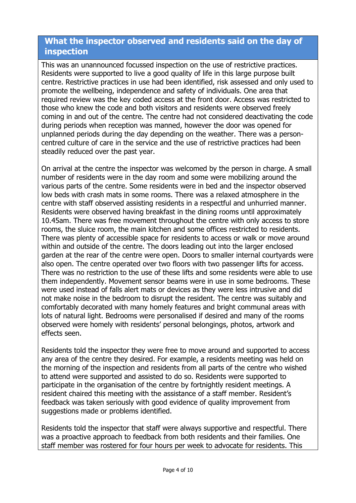#### **What the inspector observed and residents said on the day of inspection**

This was an unannounced focussed inspection on the use of restrictive practices. Residents were supported to live a good quality of life in this large purpose built centre. Restrictive practices in use had been identified, risk assessed and only used to promote the wellbeing, independence and safety of individuals. One area that required review was the key coded access at the front door. Access was restricted to those who knew the code and both visitors and residents were observed freely coming in and out of the centre. The centre had not considered deactivating the code during periods when reception was manned, however the door was opened for unplanned periods during the day depending on the weather. There was a personcentred culture of care in the service and the use of restrictive practices had been steadily reduced over the past year.

On arrival at the centre the inspector was welcomed by the person in charge. A small number of residents were in the day room and some were mobilizing around the various parts of the centre. Some residents were in bed and the inspector observed low beds with crash mats in some rooms. There was a relaxed atmosphere in the centre with staff observed assisting residents in a respectful and unhurried manner. Residents were observed having breakfast in the dining rooms until approximately 10.45am. There was free movement throughout the centre with only access to store rooms, the sluice room, the main kitchen and some offices restricted to residents. There was plenty of accessible space for residents to access or walk or move around within and outside of the centre. The doors leading out into the larger enclosed garden at the rear of the centre were open. Doors to smaller internal courtyards were also open. The centre operated over two floors with two passenger lifts for access. There was no restriction to the use of these lifts and some residents were able to use them independently. Movement sensor beams were in use in some bedrooms. These were used instead of falls alert mats or devices as they were less intrusive and did not make noise in the bedroom to disrupt the resident. The centre was suitably and comfortably decorated with many homely features and bright communal areas with lots of natural light. Bedrooms were personalised if desired and many of the rooms observed were homely with residents' personal belongings, photos, artwork and effects seen.

Residents told the inspector they were free to move around and supported to access any area of the centre they desired. For example, a residents meeting was held on the morning of the inspection and residents from all parts of the centre who wished to attend were supported and assisted to do so. Residents were supported to participate in the organisation of the centre by fortnightly resident meetings. A resident chaired this meeting with the assistance of a staff member. Resident's feedback was taken seriously with good evidence of quality improvement from suggestions made or problems identified.

Residents told the inspector that staff were always supportive and respectful. There was a proactive approach to feedback from both residents and their families. One staff member was rostered for four hours per week to advocate for residents. This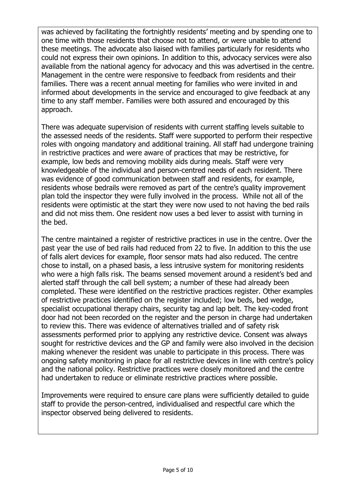was achieved by facilitating the fortnightly residents' meeting and by spending one to one time with those residents that choose not to attend, or were unable to attend these meetings. The advocate also liaised with families particularly for residents who could not express their own opinions. In addition to this, advocacy services were also available from the national agency for advocacy and this was advertised in the centre. Management in the centre were responsive to feedback from residents and their families. There was a recent annual meeting for families who were invited in and informed about developments in the service and encouraged to give feedback at any time to any staff member. Families were both assured and encouraged by this approach.

There was adequate supervision of residents with current staffing levels suitable to the assessed needs of the residents. Staff were supported to perform their respective roles with ongoing mandatory and additional training. All staff had undergone training in restrictive practices and were aware of practices that may be restrictive, for example, low beds and removing mobility aids during meals. Staff were very knowledgeable of the individual and person-centred needs of each resident. There was evidence of good communication between staff and residents, for example, residents whose bedrails were removed as part of the centre's quality improvement plan told the inspector they were fully involved in the process. While not all of the residents were optimistic at the start they were now used to not having the bed rails and did not miss them. One resident now uses a bed lever to assist with turning in the bed.

The centre maintained a register of restrictive practices in use in the centre. Over the past year the use of bed rails had reduced from 22 to five. In addition to this the use of falls alert devices for example, floor sensor mats had also reduced. The centre chose to install, on a phased basis, a less intrusive system for monitoring residents who were a high falls risk. The beams sensed movement around a resident's bed and alerted staff through the call bell system; a number of these had already been completed. These were identified on the restrictive practices register. Other examples of restrictive practices identified on the register included; low beds, bed wedge, specialist occupational therapy chairs, security tag and lap belt. The key-coded front door had not been recorded on the register and the person in charge had undertaken to review this. There was evidence of alternatives trialled and of safety risk assessments performed prior to applying any restrictive device. Consent was always sought for restrictive devices and the GP and family were also involved in the decision making whenever the resident was unable to participate in this process. There was ongoing safety monitoring in place for all restrictive devices in line with centre's policy and the national policy. Restrictive practices were closely monitored and the centre had undertaken to reduce or eliminate restrictive practices where possible.

Improvements were required to ensure care plans were sufficiently detailed to guide staff to provide the person-centred, individualised and respectful care which the inspector observed being delivered to residents.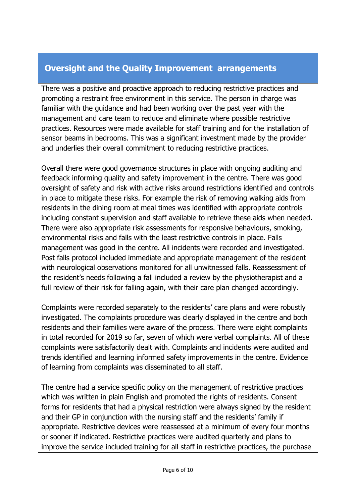#### **Oversight and the Quality Improvement arrangements**

There was a positive and proactive approach to reducing restrictive practices and promoting a restraint free environment in this service. The person in charge was familiar with the guidance and had been working over the past year with the management and care team to reduce and eliminate where possible restrictive practices. Resources were made available for staff training and for the installation of sensor beams in bedrooms. This was a significant investment made by the provider and underlies their overall commitment to reducing restrictive practices.

Overall there were good governance structures in place with ongoing auditing and feedback informing quality and safety improvement in the centre. There was good oversight of safety and risk with active risks around restrictions identified and controls in place to mitigate these risks. For example the risk of removing walking aids from residents in the dining room at meal times was identified with appropriate controls including constant supervision and staff available to retrieve these aids when needed. There were also appropriate risk assessments for responsive behaviours, smoking, environmental risks and falls with the least restrictive controls in place. Falls management was good in the centre. All incidents were recorded and investigated. Post falls protocol included immediate and appropriate management of the resident with neurological observations monitored for all unwitnessed falls. Reassessment of the resident's needs following a fall included a review by the physiotherapist and a full review of their risk for falling again, with their care plan changed accordingly.

Complaints were recorded separately to the residents' care plans and were robustly investigated. The complaints procedure was clearly displayed in the centre and both residents and their families were aware of the process. There were eight complaints in total recorded for 2019 so far, seven of which were verbal complaints. All of these complaints were satisfactorily dealt with. Complaints and incidents were audited and trends identified and learning informed safety improvements in the centre. Evidence of learning from complaints was disseminated to all staff.

The centre had a service specific policy on the management of restrictive practices which was written in plain English and promoted the rights of residents. Consent forms for residents that had a physical restriction were always signed by the resident and their GP in conjunction with the nursing staff and the residents' family if appropriate. Restrictive devices were reassessed at a minimum of every four months or sooner if indicated. Restrictive practices were audited quarterly and plans to improve the service included training for all staff in restrictive practices, the purchase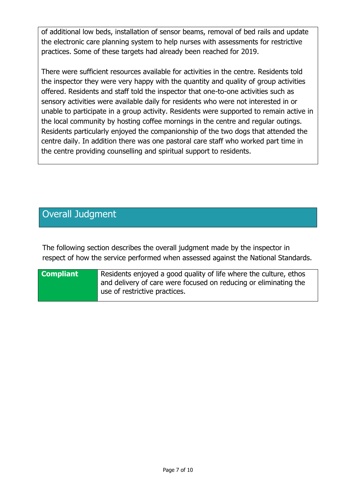of additional low beds, installation of sensor beams, removal of bed rails and update the electronic care planning system to help nurses with assessments for restrictive practices. Some of these targets had already been reached for 2019.

There were sufficient resources available for activities in the centre. Residents told the inspector they were very happy with the quantity and quality of group activities offered. Residents and staff told the inspector that one-to-one activities such as sensory activities were available daily for residents who were not interested in or unable to participate in a group activity. Residents were supported to remain active in the local community by hosting coffee mornings in the centre and regular outings. Residents particularly enjoyed the companionship of the two dogs that attended the centre daily. In addition there was one pastoral care staff who worked part time in the centre providing counselling and spiritual support to residents.

# Overall Judgment

The following section describes the overall judgment made by the inspector in respect of how the service performed when assessed against the National Standards.

#### **Compliant** Residents enjoyed a good quality of life where the culture, ethos and delivery of care were focused on reducing or eliminating the use of restrictive practices.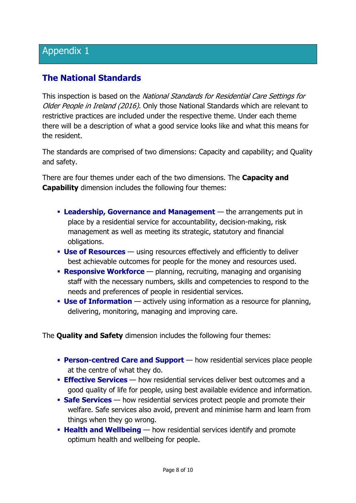#### **The National Standards**

This inspection is based on the National Standards for Residential Care Settings for Older People in Ireland (2016). Only those National Standards which are relevant to restrictive practices are included under the respective theme. Under each theme there will be a description of what a good service looks like and what this means for the resident.

The standards are comprised of two dimensions: Capacity and capability; and Quality and safety.

There are four themes under each of the two dimensions. The **Capacity and Capability** dimension includes the following four themes:

- **Leadership, Governance and Management** the arrangements put in place by a residential service for accountability, decision-making, risk management as well as meeting its strategic, statutory and financial obligations.
- **Use of Resources** using resources effectively and efficiently to deliver best achievable outcomes for people for the money and resources used.
- **Responsive Workforce** planning, recruiting, managing and organising staff with the necessary numbers, skills and competencies to respond to the needs and preferences of people in residential services.
- **Use of Information** actively using information as a resource for planning, delivering, monitoring, managing and improving care.

The **Quality and Safety** dimension includes the following four themes:

- **Person-centred Care and Support** how residential services place people at the centre of what they do.
- **Effective Services** how residential services deliver best outcomes and a good quality of life for people, using best available evidence and information.
- **Safe Services** how residential services protect people and promote their welfare. Safe services also avoid, prevent and minimise harm and learn from things when they go wrong.
- **Health and Wellbeing** how residential services identify and promote optimum health and wellbeing for people.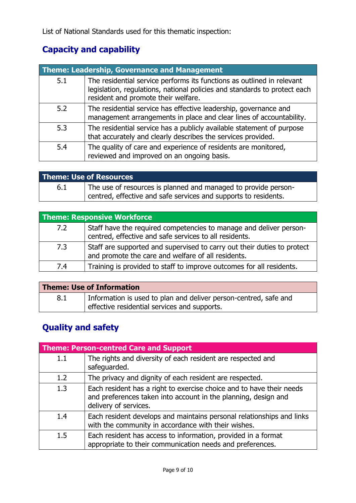## **Capacity and capability**

|     | <b>Theme: Leadership, Governance and Management</b>                                                                                                                                        |  |
|-----|--------------------------------------------------------------------------------------------------------------------------------------------------------------------------------------------|--|
| 5.1 | The residential service performs its functions as outlined in relevant<br>legislation, regulations, national policies and standards to protect each<br>resident and promote their welfare. |  |
| 5.2 | The residential service has effective leadership, governance and<br>management arrangements in place and clear lines of accountability.                                                    |  |
| 5.3 | The residential service has a publicly available statement of purpose<br>that accurately and clearly describes the services provided.                                                      |  |
| 5.4 | The quality of care and experience of residents are monitored,<br>reviewed and improved on an ongoing basis.                                                                               |  |

| <b>Theme: Use of Resources</b> |                                                                                                                                   |
|--------------------------------|-----------------------------------------------------------------------------------------------------------------------------------|
| 6.1                            | The use of resources is planned and managed to provide person-<br>centred, effective and safe services and supports to residents. |

| <b>Theme: Responsive Workforce</b> |                                                                                                                               |
|------------------------------------|-------------------------------------------------------------------------------------------------------------------------------|
| 7.2                                | Staff have the required competencies to manage and deliver person-<br>centred, effective and safe services to all residents.  |
| 7.3                                | Staff are supported and supervised to carry out their duties to protect<br>and promote the care and welfare of all residents. |
| 7.4                                | Training is provided to staff to improve outcomes for all residents.                                                          |

| <b>Theme: Use of Information</b> |                                                                  |
|----------------------------------|------------------------------------------------------------------|
| 8.1                              | Information is used to plan and deliver person-centred, safe and |
|                                  | effective residential services and supports.                     |

# **Quality and safety**

|     | <b>Theme: Person-centred Care and Support</b>                                                                                                                   |  |
|-----|-----------------------------------------------------------------------------------------------------------------------------------------------------------------|--|
| 1.1 | The rights and diversity of each resident are respected and<br>safeguarded.                                                                                     |  |
| 1.2 | The privacy and dignity of each resident are respected.                                                                                                         |  |
| 1.3 | Each resident has a right to exercise choice and to have their needs<br>and preferences taken into account in the planning, design and<br>delivery of services. |  |
| 1.4 | Each resident develops and maintains personal relationships and links<br>with the community in accordance with their wishes.                                    |  |
| 1.5 | Each resident has access to information, provided in a format<br>appropriate to their communication needs and preferences.                                      |  |